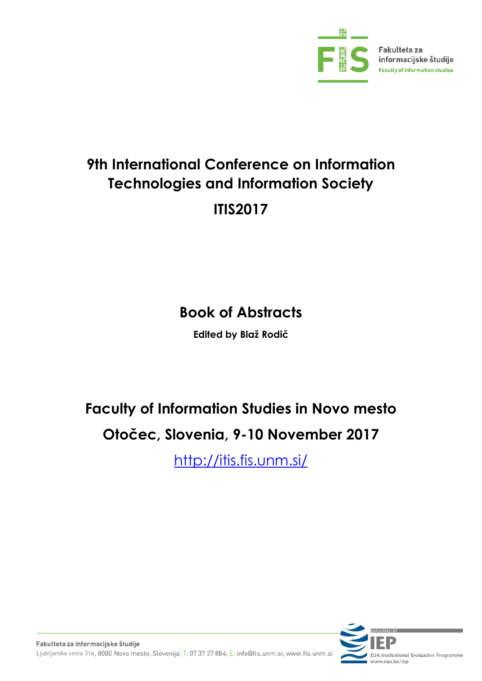

# **9th International Conference on Information Technologies and Information Society ITIS2017**

# **Book of Abstracts**

**Edited by Blaž Rodič**

# **Faculty of Information Studies in Novo mesto Otočec, Slovenia, 9-10 November 2017**

[http://itis.fis.unm.si/](http://itis2014.fis.unm.si/)

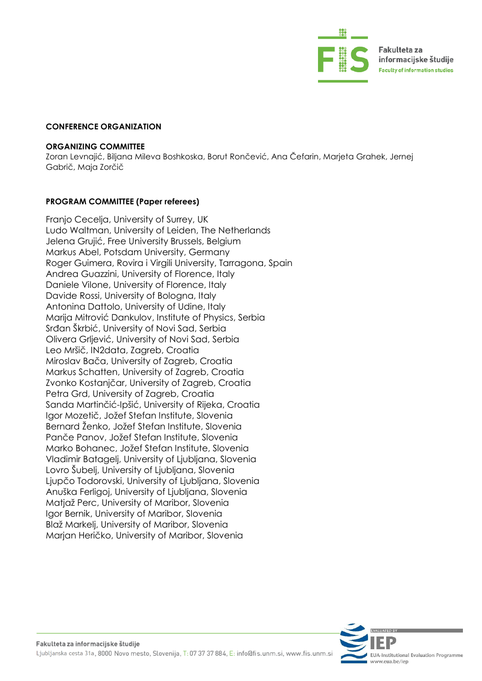

#### **CONFERENCE ORGANIZATION**

#### **ORGANIZING COMMITTEE**

Zoran Levnajić, Biljana Mileva Boshkoska, Borut Rončević, Ana Čefarin, Marjeta Grahek, Jernej Gabrič, Maja Zorčič

#### **PROGRAM COMMITTEE (Paper referees)**

Franjo Cecelja, University of Surrey, UK Ludo Waltman, University of Leiden, The Netherlands Jelena Grujić, Free University Brussels, Belgium Markus Abel, Potsdam University, Germany Roger Guimera, Rovira i Virgili University, Tarragona, Spain Andrea Guazzini, University of Florence, Italy Daniele Vilone, University of Florence, Italy Davide Rossi, University of Bologna, Italy Antonina Dattolo, University of Udine, Italy Marija Mitrović Dankulov, Institute of Physics, Serbia Srđan Škrbić, University of Novi Sad, Serbia Olivera Grljević, University of Novi Sad, Serbia Leo Mršič, IN2data, Zagreb, Croatia Miroslav Bača, University of Zagreb, Croatia Markus Schatten, University of Zagreb, Croatia Zvonko Kostanjčar, University of Zagreb, Croatia Petra Grd, University of Zagreb, Croatia Sanda Martinčić-Ipšić, University of Rijeka, Croatia Igor Mozetič, Jožef Stefan Institute, Slovenia Bernard Ženko, Jožef Stefan Institute, Slovenia Panče Panov, Jožef Stefan Institute, Slovenia Marko Bohanec, Jožef Stefan Institute, Slovenia Vladimir Batagelj, University of Ljubljana, Slovenia Lovro Šubelj, University of Ljubljana, Slovenia Ljupčo Todorovski, University of Ljubljana, Slovenia Anuška Ferligoj, University of Ljubljana, Slovenia Matjaž Perc, University of Maribor, Slovenia Igor Bernik, University of Maribor, Slovenia Blaž Markelj, University of Maribor, Slovenia Marjan Heričko, University of Maribor, Slovenia

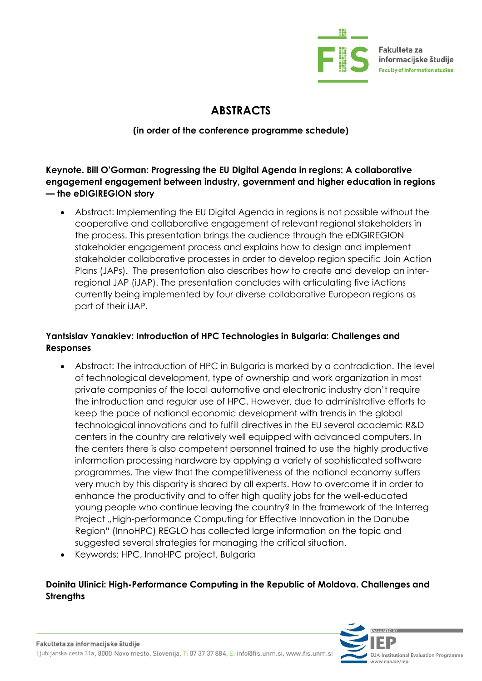

Fakulteta za informacijske študije **Faculty of information studies** 

## **ABSTRACTS**

#### **(in order of the conference programme schedule)**

**Keynote. Bill O'Gorman: Progressing the EU Digital Agenda in regions: A collaborative engagement engagement between industry, government and higher education in regions — the eDIGIREGION story**

 Abstract: Implementing the EU Digital Agenda in regions is not possible without the cooperative and collaborative engagement of relevant regional stakeholders in the process. This presentation brings the audience through the eDIGIREGION stakeholder engagement process and explains how to design and implement stakeholder collaborative processes in order to develop region specific Join Action Plans (JAPs). The presentation also describes how to create and develop an interregional JAP (iJAP). The presentation concludes with articulating five iActions currently being implemented by four diverse collaborative European regions as part of their iJAP.

### **Yantsislav Yanakiev: Introduction of HPC Technologies in Bulgaria: Challenges and Responses**

- Abstract: The introduction of HPC in Bulgaria is marked by a contradiction. The level of technological development, type of ownership and work organization in most private companies of the local automotive and electronic industry don't require the introduction and regular use of HPC. However, due to administrative efforts to keep the pace of national economic development with trends in the global technological innovations and to fulfill directives in the EU several academic R&D centers in the country are relatively well equipped with advanced computers. In the centers there is also competent personnel trained to use the highly productive information processing hardware by applying a variety of sophisticated software programmes. The view that the competitiveness of the national economy suffers very much by this disparity is shared by all experts. How to overcome it in order to enhance the productivity and to offer high quality jobs for the well-educated young people who continue leaving the country? In the framework of the Interreg Project ..High-performance Computing for Effective Innovation in the Danube Region" (InnoHPC) REGLO has collected large information on the topic and suggested several strategies for managing the critical situation.
- Keywords: HPC, InnoHPC project, Bulgaria

## **Doinita Ulinici: High-Performance Computing in the Republic of Moldova. Challenges and Strengths**

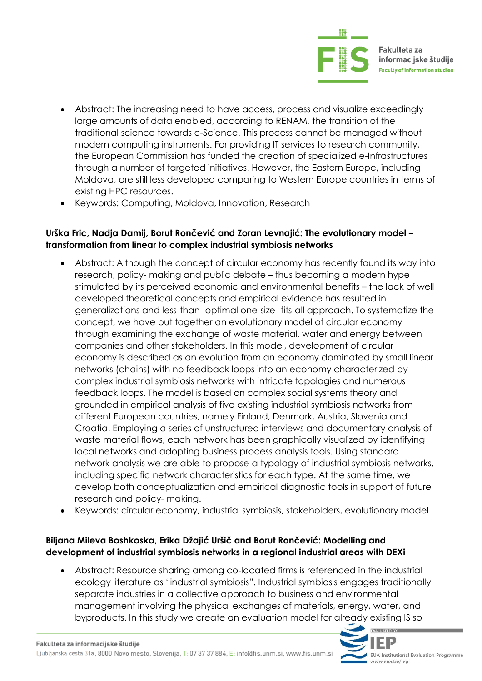

- Abstract: The increasing need to have access, process and visualize exceedingly large amounts of data enabled, according to RENAM, the transition of the traditional science towards e-Science. This process cannot be managed without modern computing instruments. For providing IT services to research community, the European Commission has funded the creation of specialized e-Infrastructures through a number of targeted initiatives. However, the Eastern Europe, including Moldova, are still less developed comparing to Western Europe countries in terms of existing HPC resources.
- Keywords: Computing, Moldova, Innovation, Research

#### **Urška Fric, Nadja Damij, Borut Rončević and Zoran Levnajić: The evolutionary model – transformation from linear to complex industrial symbiosis networks**

- Abstract: Although the concept of circular economy has recently found its way into research, policy- making and public debate – thus becoming a modern hype stimulated by its perceived economic and environmental benefits – the lack of well developed theoretical concepts and empirical evidence has resulted in generalizations and less-than- optimal one-size- fits-all approach. To systematize the concept, we have put together an evolutionary model of circular economy through examining the exchange of waste material, water and energy between companies and other stakeholders. In this model, development of circular economy is described as an evolution from an economy dominated by small linear networks (chains) with no feedback loops into an economy characterized by complex industrial symbiosis networks with intricate topologies and numerous feedback loops. The model is based on complex social systems theory and grounded in empirical analysis of five existing industrial symbiosis networks from different European countries, namely Finland, Denmark, Austria, Slovenia and Croatia. Employing a series of unstructured interviews and documentary analysis of waste material flows, each network has been graphically visualized by identifying local networks and adopting business process analysis tools. Using standard network analysis we are able to propose a typology of industrial symbiosis networks, including specific network characteristics for each type. At the same time, we develop both conceptualization and empirical diagnostic tools in support of future research and policy- making.
- Keywords: circular economy, industrial symbiosis, stakeholders, evolutionary model

#### **Biljana Mileva Boshkoska, Erika Džajić Uršič and Borut Rončević: Modelling and development of industrial symbiosis networks in a regional industrial areas with DEXi**

 Abstract: Resource sharing among co-located firms is referenced in the industrial ecology literature as "industrial symbiosis". Industrial symbiosis engages traditionally separate industries in a collective approach to business and environmental management involving the physical exchanges of materials, energy, water, and byproducts. In this study we create an evaluation model for already existing IS so

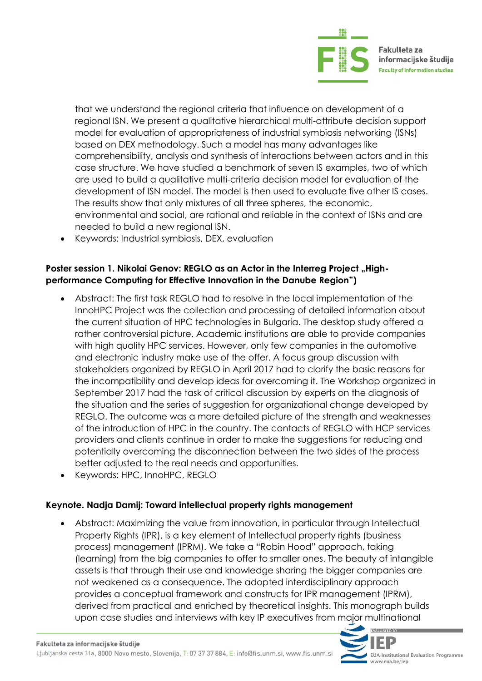

that we understand the regional criteria that influence on development of a regional ISN. We present a qualitative hierarchical multi-attribute decision support model for evaluation of appropriateness of industrial symbiosis networking (ISNs) based on DEX methodology. Such a model has many advantages like comprehensibility, analysis and synthesis of interactions between actors and in this case structure. We have studied a benchmark of seven IS examples, two of which are used to build a qualitative multi-criteria decision model for evaluation of the development of ISN model. The model is then used to evaluate five other IS cases. The results show that only mixtures of all three spheres, the economic, environmental and social, are rational and reliable in the context of ISNs and are needed to build a new regional ISN.

Keywords: Industrial symbiosis, DEX, evaluation

#### Poster session 1. Nikolai Genov: REGLO as an Actor in the Interreg Project "High**performance Computing for Effective Innovation in the Danube Region")**

- Abstract: The first task REGLO had to resolve in the local implementation of the InnoHPC Project was the collection and processing of detailed information about the current situation of HPC technologies in Bulgaria. The desktop study offered a rather controversial picture. Academic institutions are able to provide companies with high quality HPC services. However, only few companies in the automotive and electronic industry make use of the offer. A focus group discussion with stakeholders organized by REGLO in April 2017 had to clarify the basic reasons for the incompatibility and develop ideas for overcoming it. The Workshop organized in September 2017 had the task of critical discussion by experts on the diagnosis of the situation and the series of suggestion for organizational change developed by REGLO. The outcome was a more detailed picture of the strength and weaknesses of the introduction of HPC in the country. The contacts of REGLO with HCP services providers and clients continue in order to make the suggestions for reducing and potentially overcoming the disconnection between the two sides of the process better adjusted to the real needs and opportunities.
- Keywords: HPC, InnoHPC, REGLO

#### **Keynote. Nadja Damij: Toward intellectual property rights management**

 Abstract: Maximizing the value from innovation, in particular through Intellectual Property Rights (IPR), is a key element of Intellectual property rights (business process) management (IPRM). We take a "Robin Hood" approach, taking (learning) from the big companies to offer to smaller ones. The beauty of intangible assets is that through their use and knowledge sharing the bigger companies are not weakened as a consequence. The adopted interdisciplinary approach provides a conceptual framework and constructs for IPR management (IPRM), derived from practical and enriched by theoretical insights. This monograph builds upon case studies and interviews with key IP executives from major multinational

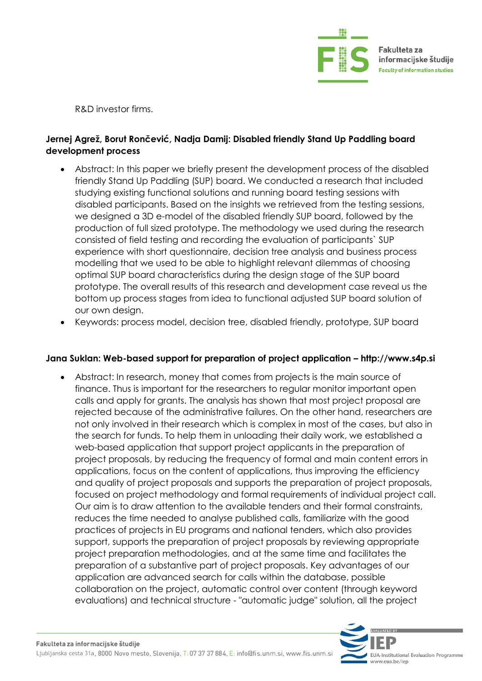

R&D investor firms.

### **Jernej Agrež, Borut Rončević, Nadja Damij: Disabled friendly Stand Up Paddling board development process**

- Abstract: In this paper we briefly present the development process of the disabled friendly Stand Up Paddling (SUP) board. We conducted a research that included studying existing functional solutions and running board testing sessions with disabled participants. Based on the insights we retrieved from the testing sessions, we designed a 3D e-model of the disabled friendly SUP board, followed by the production of full sized prototype. The methodology we used during the research consisted of field testing and recording the evaluation of participants` SUP experience with short questionnaire, decision tree analysis and business process modelling that we used to be able to highlight relevant dilemmas of choosing optimal SUP board characteristics during the design stage of the SUP board prototype. The overall results of this research and development case reveal us the bottom up process stages from idea to functional adjusted SUP board solution of our own design.
- Keywords: process model, decision tree, disabled friendly, prototype, SUP board

#### **Jana Suklan: Web-based support for preparation of project application – http://www.s4p.si**

 Abstract: In research, money that comes from projects is the main source of finance. Thus is important for the researchers to regular monitor important open calls and apply for grants. The analysis has shown that most project proposal are rejected because of the administrative failures. On the other hand, researchers are not only involved in their research which is complex in most of the cases, but also in the search for funds. To help them in unloading their daily work, we established a web-based application that support project applicants in the preparation of project proposals, by reducing the frequency of formal and main content errors in applications, focus on the content of applications, thus improving the efficiency and quality of project proposals and supports the preparation of project proposals, focused on project methodology and formal requirements of individual project call. Our aim is to draw attention to the available tenders and their formal constraints, reduces the time needed to analyse published calls, familiarize with the good practices of projects in EU programs and national tenders, which also provides support, supports the preparation of project proposals by reviewing appropriate project preparation methodologies, and at the same time and facilitates the preparation of a substantive part of project proposals. Key advantages of our application are advanced search for calls within the database, possible collaboration on the project, automatic control over content (through keyword evaluations) and technical structure - "automatic judge" solution, all the project

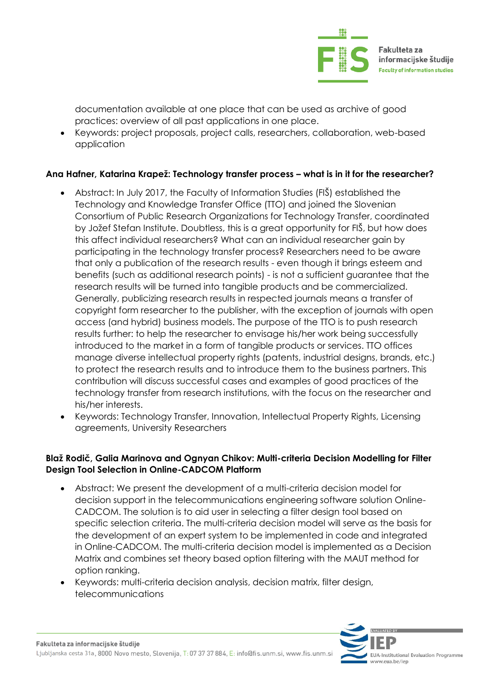

documentation available at one place that can be used as archive of good practices: overview of all past applications in one place.

 Keywords: project proposals, project calls, researchers, collaboration, web-based application

#### **Ana Hafner, Katarina Krapež: Technology transfer process – what is in it for the researcher?**

- Abstract: In July 2017, the Faculty of Information Studies (FIŠ) established the Technology and Knowledge Transfer Office (TTO) and joined the Slovenian Consortium of Public Research Organizations for Technology Transfer, coordinated by Jožef Stefan Institute. Doubtless, this is a great opportunity for FIŠ, but how does this affect individual researchers? What can an individual researcher gain by participating in the technology transfer process? Researchers need to be aware that only a publication of the research results - even though it brings esteem and benefits (such as additional research points) - is not a sufficient guarantee that the research results will be turned into tangible products and be commercialized. Generally, publicizing research results in respected journals means a transfer of copyright form researcher to the publisher, with the exception of journals with open access (and hybrid) business models. The purpose of the TTO is to push research results further: to help the researcher to envisage his/her work being successfully introduced to the market in a form of tangible products or services. TTO offices manage diverse intellectual property rights (patents, industrial designs, brands, etc.) to protect the research results and to introduce them to the business partners. This contribution will discuss successful cases and examples of good practices of the technology transfer from research institutions, with the focus on the researcher and his/her interests.
- Keywords: Technology Transfer, Innovation, Intellectual Property Rights, Licensing agreements, University Researchers

#### **Blaž Rodič, Galia Marinova and Ognyan Chikov: Multi-criteria Decision Modelling for Filter Design Tool Selection in Online-CADCOM Platform**

- Abstract: We present the development of a multi-criteria decision model for decision support in the telecommunications engineering software solution Online-CADCOM. The solution is to aid user in selecting a filter design tool based on specific selection criteria. The multi-criteria decision model will serve as the basis for the development of an expert system to be implemented in code and integrated in Online-CADCOM. The multi-criteria decision model is implemented as a Decision Matrix and combines set theory based option filtering with the MAUT method for option ranking.
- Keywords: multi-criteria decision analysis, decision matrix, filter design, telecommunications

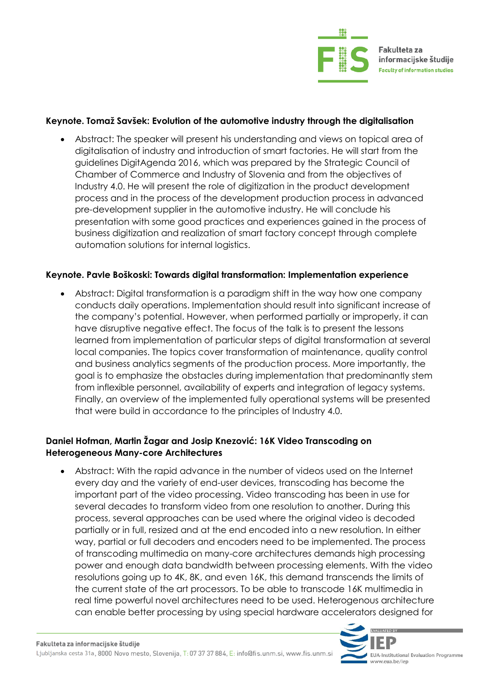

#### **Keynote. Tomaž Savšek: Evolution of the automotive industry through the digitalisation**

 Abstract: The speaker will present his understanding and views on topical area of digitalisation of industry and introduction of smart factories. He will start from the guidelines DigitAgenda 2016, which was prepared by the Strategic Council of Chamber of Commerce and Industry of Slovenia and from the objectives of Industry 4.0. He will present the role of digitization in the product development process and in the process of the development production process in advanced pre-development supplier in the automotive industry. He will conclude his presentation with some good practices and experiences gained in the process of business digitization and realization of smart factory concept through complete automation solutions for internal logistics.

#### **Keynote. Pavle Boškoski: Towards digital transformation: Implementation experience**

 Abstract: Digital transformation is a paradigm shift in the way how one company conducts daily operations. Implementation should result into significant increase of the company's potential. However, when performed partially or improperly, it can have disruptive negative effect. The focus of the talk is to present the lessons learned from implementation of particular steps of digital transformation at several local companies. The topics cover transformation of maintenance, quality control and business analytics segments of the production process. More importantly, the goal is to emphasize the obstacles during implementation that predominantly stem from inflexible personnel, availability of experts and integration of legacy systems. Finally, an overview of the implemented fully operational systems will be presented that were build in accordance to the principles of Industry 4.0.

#### **Daniel Hofman, Martin Žagar and Josip Knezović: 16K Video Transcoding on Heterogeneous Many-core Architectures**

 Abstract: With the rapid advance in the number of videos used on the Internet every day and the variety of end-user devices, transcoding has become the important part of the video processing. Video transcoding has been in use for several decades to transform video from one resolution to another. During this process, several approaches can be used where the original video is decoded partially or in full, resized and at the end encoded into a new resolution. In either way, partial or full decoders and encoders need to be implemented. The process of transcoding multimedia on many-core architectures demands high processing power and enough data bandwidth between processing elements. With the video resolutions going up to 4K, 8K, and even 16K, this demand transcends the limits of the current state of the art processors. To be able to transcode 16K multimedia in real time powerful novel architectures need to be used. Heterogenous architecture can enable better processing by using special hardware accelerators designed for

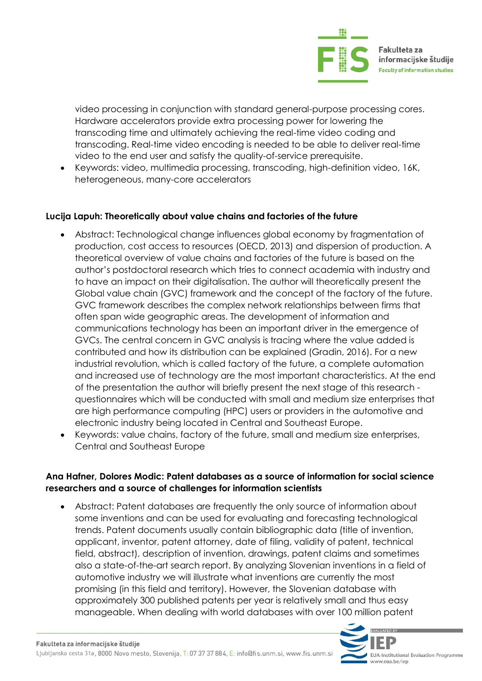

video processing in conjunction with standard general-purpose processing cores. Hardware accelerators provide extra processing power for lowering the transcoding time and ultimately achieving the real-time video coding and transcoding. Real-time video encoding is needed to be able to deliver real-time video to the end user and satisfy the quality-of-service prerequisite.

 Keywords: video, multimedia processing, transcoding, high-definition video, 16K, heterogeneous, many-core accelerators

#### **Lucija Lapuh: Theoretically about value chains and factories of the future**

- Abstract: Technological change influences global economy by fragmentation of production, cost access to resources (OECD, 2013) and dispersion of production. A theoretical overview of value chains and factories of the future is based on the author's postdoctoral research which tries to connect academia with industry and to have an impact on their digitalisation. The author will theoretically present the Global value chain (GVC) framework and the concept of the factory of the future. GVC framework describes the complex network relationships between firms that often span wide geographic areas. The development of information and communications technology has been an important driver in the emergence of GVCs. The central concern in GVC analysis is tracing where the value added is contributed and how its distribution can be explained (Gradin, 2016). For a new industrial revolution, which is called factory of the future, a complete automation and increased use of technology are the most important characteristics. At the end of the presentation the author will briefly present the next stage of this research questionnaires which will be conducted with small and medium size enterprises that are high performance computing (HPC) users or providers in the automotive and electronic industry being located in Central and Southeast Europe.
- Keywords: value chains, factory of the future, small and medium size enterprises, Central and Southeast Europe

#### **Ana Hafner, Dolores Modic: Patent databases as a source of information for social science researchers and a source of challenges for information scientists**

 Abstract: Patent databases are frequently the only source of information about some inventions and can be used for evaluating and forecasting technological trends. Patent documents usually contain bibliographic data (title of invention, applicant, inventor, patent attorney, date of filing, validity of patent, technical field, abstract), description of invention, drawings, patent claims and sometimes also a state-of-the-art search report. By analyzing Slovenian inventions in a field of automotive industry we will illustrate what inventions are currently the most promising (in this field and territory). However, the Slovenian database with approximately 300 published patents per year is relatively small and thus easy manageable. When dealing with world databases with over 100 million patent

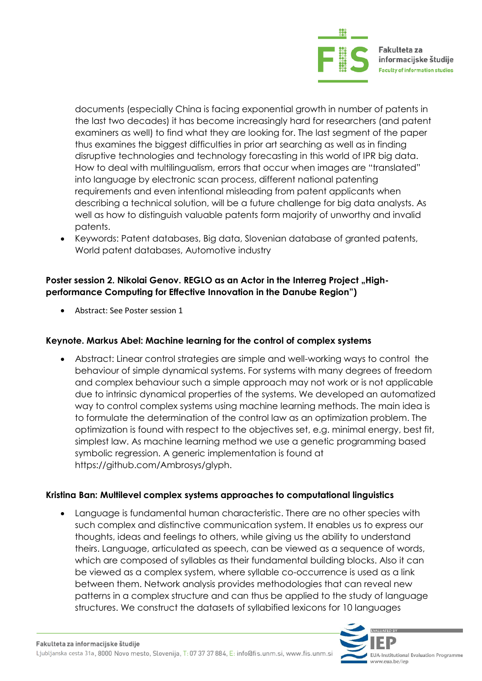

documents (especially China is facing exponential growth in number of patents in the last two decades) it has become increasingly hard for researchers (and patent examiners as well) to find what they are looking for. The last segment of the paper thus examines the biggest difficulties in prior art searching as well as in finding disruptive technologies and technology forecasting in this world of IPR big data. How to deal with multilingualism, errors that occur when images are "translated" into language by electronic scan process, different national patenting requirements and even intentional misleading from patent applicants when describing a technical solution, will be a future challenge for big data analysts. As well as how to distinguish valuable patents form majority of unworthy and invalid patents.

 Keywords: Patent databases, Big data, Slovenian database of granted patents, World patent databases, Automotive industry

#### Poster session 2. Nikolai Genov. REGLO as an Actor in the Interreg Project "High**performance Computing for Effective Innovation in the Danube Region")**

Abstract: See Poster session 1

#### **Keynote. Markus Abel: Machine learning for the control of complex systems**

 Abstract: Linear control strategies are simple and well-working ways to control the behaviour of simple dynamical systems. For systems with many degrees of freedom and complex behaviour such a simple approach may not work or is not applicable due to intrinsic dynamical properties of the systems. We developed an automatized way to control complex systems using machine learning methods. The main idea is to formulate the determination of the control law as an optimization problem. The optimization is found with respect to the objectives set, e.g. minimal energy, best fit, simplest law. As machine learning method we use a genetic programming based symbolic regression. A generic implementation is found at https://github.com/Ambrosys/glyph.

#### **Kristina Ban: Multilevel complex systems approaches to computational linguistics**

 Language is fundamental human characteristic. There are no other species with such complex and distinctive communication system. It enables us to express our thoughts, ideas and feelings to others, while giving us the ability to understand theirs. Language, articulated as speech, can be viewed as a sequence of words, which are composed of syllables as their fundamental building blocks. Also it can be viewed as a complex system, where syllable co-occurrence is used as a link between them. Network analysis provides methodologies that can reveal new patterns in a complex structure and can thus be applied to the study of language structures. We construct the datasets of syllabified lexicons for 10 languages

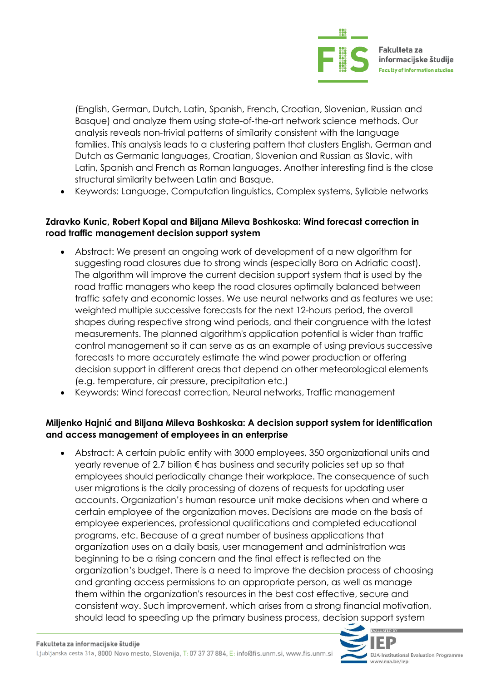

(English, German, Dutch, Latin, Spanish, French, Croatian, Slovenian, Russian and Basque) and analyze them using state-of-the-art network science methods. Our analysis reveals non-trivial patterns of similarity consistent with the language families. This analysis leads to a clustering pattern that clusters English, German and Dutch as Germanic languages, Croatian, Slovenian and Russian as Slavic, with Latin, Spanish and French as Roman languages. Another interesting find is the close structural similarity between Latin and Basque.

Keywords: Language, Computation linguistics, Complex systems, Syllable networks

#### **Zdravko Kunic, Robert Kopal and Biljana Mileva Boshkoska: Wind forecast correction in road traffic management decision support system**

- Abstract: We present an ongoing work of development of a new algorithm for suggesting road closures due to strong winds (especially Bora on Adriatic coast). The algorithm will improve the current decision support system that is used by the road traffic managers who keep the road closures optimally balanced between traffic safety and economic losses. We use neural networks and as features we use: weighted multiple successive forecasts for the next 12-hours period, the overall shapes during respective strong wind periods, and their congruence with the latest measurements. The planned algorithm's application potential is wider than traffic control management so it can serve as as an example of using previous successive forecasts to more accurately estimate the wind power production or offering decision support in different areas that depend on other meteorological elements (e.g. temperature, air pressure, precipitation etc.)
- Keywords: Wind forecast correction, Neural networks, Traffic management

#### **Miljenko Hajnić and Biljana Mileva Boshkoska: A decision support system for identification and access management of employees in an enterprise**

 Abstract: A certain public entity with 3000 employees, 350 organizational units and yearly revenue of 2.7 billion € has business and security policies set up so that employees should periodically change their workplace. The consequence of such user migrations is the daily processing of dozens of requests for updating user accounts. Organization's human resource unit make decisions when and where a certain employee of the organization moves. Decisions are made on the basis of employee experiences, professional qualifications and completed educational programs, etc. Because of a great number of business applications that organization uses on a daily basis, user management and administration was beginning to be a rising concern and the final effect is reflected on the organization's budget. There is a need to improve the decision process of choosing and granting access permissions to an appropriate person, as well as manage them within the organization's resources in the best cost effective, secure and consistent way. Such improvement, which arises from a strong financial motivation, should lead to speeding up the primary business process, decision support system

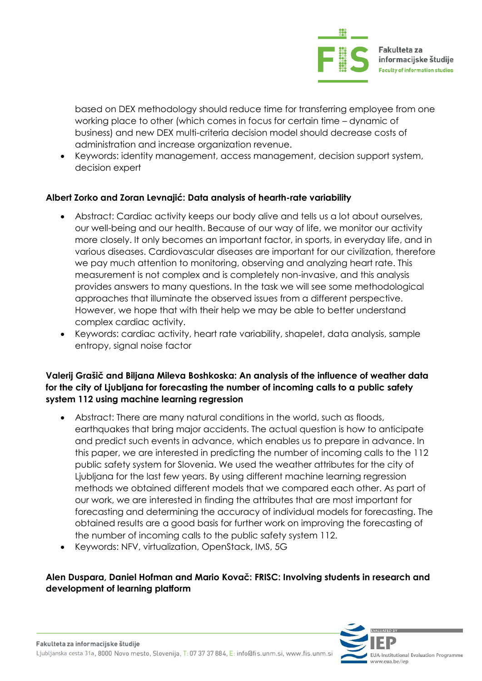

based on DEX methodology should reduce time for transferring employee from one working place to other (which comes in focus for certain time – dynamic of business) and new DEX multi-criteria decision model should decrease costs of administration and increase organization revenue.

 Keywords: identity management, access management, decision support system, decision expert

#### **Albert Zorko and Zoran Levnajić: Data analysis of hearth-rate variability**

- Abstract: Cardiac activity keeps our body alive and tells us a lot about ourselves, our well-being and our health. Because of our way of life, we monitor our activity more closely. It only becomes an important factor, in sports, in everyday life, and in various diseases. Cardiovascular diseases are important for our civilization, therefore we pay much attention to monitoring, observing and analyzing heart rate. This measurement is not complex and is completely non-invasive, and this analysis provides answers to many questions. In the task we will see some methodological approaches that illuminate the observed issues from a different perspective. However, we hope that with their help we may be able to better understand complex cardiac activity.
- Keywords: cardiac activity, heart rate variability, shapelet, data analysis, sample entropy, signal noise factor

#### **Valerij Grašič and Biljana Mileva Boshkoska: An analysis of the influence of weather data for the city of Ljubljana for forecasting the number of incoming calls to a public safety system 112 using machine learning regression**

- Abstract: There are many natural conditions in the world, such as floods, earthquakes that bring major accidents. The actual question is how to anticipate and predict such events in advance, which enables us to prepare in advance. In this paper, we are interested in predicting the number of incoming calls to the 112 public safety system for Slovenia. We used the weather attributes for the city of Ljubljana for the last few years. By using different machine learning regression methods we obtained different models that we compared each other. As part of our work, we are interested in finding the attributes that are most important for forecasting and determining the accuracy of individual models for forecasting. The obtained results are a good basis for further work on improving the forecasting of the number of incoming calls to the public safety system 112.
- Keywords: NFV, virtualization, OpenStack, IMS, 5G

### **Alen Duspara, Daniel Hofman and Mario Kovač: FRISC: Involving students in research and development of learning platform**

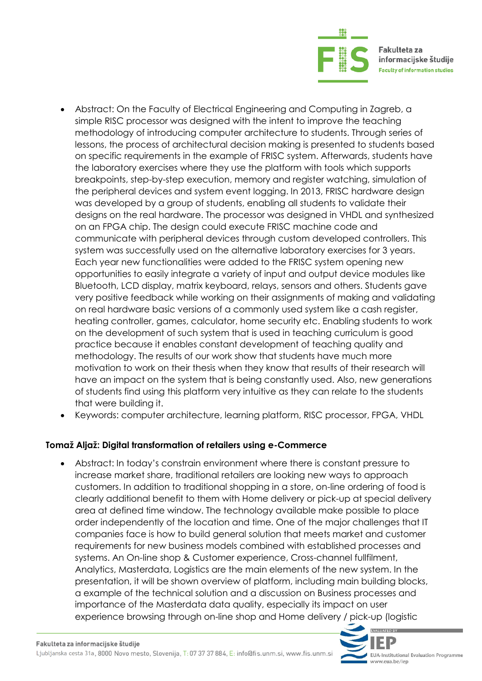

- Abstract: On the Faculty of Electrical Engineering and Computing in Zagreb, a simple RISC processor was designed with the intent to improve the teaching methodology of introducing computer architecture to students. Through series of lessons, the process of architectural decision making is presented to students based on specific requirements in the example of FRISC system. Afterwards, students have the laboratory exercises where they use the platform with tools which supports breakpoints, step-by-step execution, memory and register watching, simulation of the peripheral devices and system event logging. In 2013, FRISC hardware design was developed by a group of students, enabling all students to validate their designs on the real hardware. The processor was designed in VHDL and synthesized on an FPGA chip. The design could execute FRISC machine code and communicate with peripheral devices through custom developed controllers. This system was successfully used on the alternative laboratory exercises for 3 years. Each year new functionalities were added to the FRISC system opening new opportunities to easily integrate a variety of input and output device modules like Bluetooth, LCD display, matrix keyboard, relays, sensors and others. Students gave very positive feedback while working on their assignments of making and validating on real hardware basic versions of a commonly used system like a cash register, heating controller, games, calculator, home security etc. Enabling students to work on the development of such system that is used in teaching curriculum is good practice because it enables constant development of teaching quality and methodology. The results of our work show that students have much more motivation to work on their thesis when they know that results of their research will have an impact on the system that is being constantly used. Also, new generations of students find using this platform very intuitive as they can relate to the students that were building it.
- Keywords: computer architecture, learning platform, RISC processor, FPGA, VHDL

#### **Tomaž Aljaž: Digital transformation of retailers using e-Commerce**

 Abstract: In today's constrain environment where there is constant pressure to increase market share, traditional retailers are looking new ways to approach customers. In addition to traditional shopping in a store, on-line ordering of food is clearly additional benefit to them with Home delivery or pick-up at special delivery area at defined time window. The technology available make possible to place order independently of the location and time. One of the major challenges that IT companies face is how to build general solution that meets market and customer requirements for new business models combined with established processes and systems. An On-line shop & Customer experience, Cross-channel fullfilment, Analytics, Masterdata, Logistics are the main elements of the new system. In the presentation, it will be shown overview of platform, including main building blocks, a example of the technical solution and a discussion on Business processes and importance of the Masterdata data quality, especially its impact on user experience browsing through on-line shop and Home delivery / pick-up (logistic